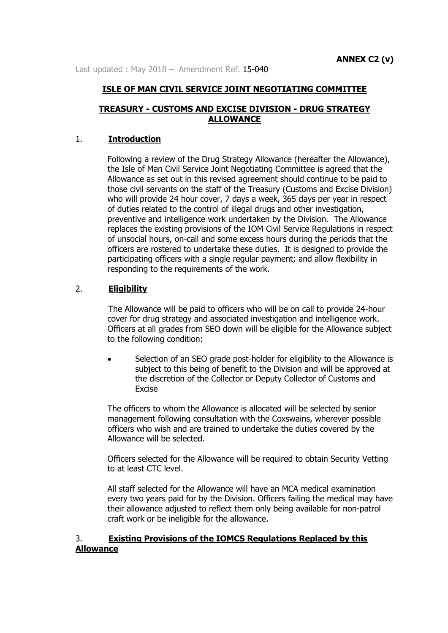Last updated : May 2018 - Amendment Ref. 15-040

### **ISLE OF MAN CIVIL SERVICE JOINT NEGOTIATING COMMITTEE**

### **TREASURY - CUSTOMS AND EXCISE DIVISION - DRUG STRATEGY ALLOWANCE**

### 1. **Introduction**

Following a review of the Drug Strategy Allowance (hereafter the Allowance), the Isle of Man Civil Service Joint Negotiating Committee is agreed that the Allowance as set out in this revised agreement should continue to be paid to those civil servants on the staff of the Treasury (Customs and Excise Division) who will provide 24 hour cover, 7 days a week, 365 days per year in respect of duties related to the control of illegal drugs and other investigation, preventive and intelligence work undertaken by the Division. The Allowance replaces the existing provisions of the IOM Civil Service Regulations in respect of unsocial hours, on-call and some excess hours during the periods that the officers are rostered to undertake these duties. It is designed to provide the participating officers with a single regular payment; and allow flexibility in responding to the requirements of the work.

### 2. **Eligibility**

The Allowance will be paid to officers who will be on call to provide 24-hour cover for drug strategy and associated investigation and intelligence work. Officers at all grades from SEO down will be eligible for the Allowance subject to the following condition:

 Selection of an SEO grade post-holder for eligibility to the Allowance is subject to this being of benefit to the Division and will be approved at the discretion of the Collector or Deputy Collector of Customs and Excise

The officers to whom the Allowance is allocated will be selected by senior management following consultation with the Coxswains, wherever possible officers who wish and are trained to undertake the duties covered by the Allowance will be selected.

Officers selected for the Allowance will be required to obtain Security Vetting to at least CTC level.

All staff selected for the Allowance will have an MCA medical examination every two years paid for by the Division. Officers failing the medical may have their allowance adjusted to reflect them only being available for non-patrol craft work or be ineligible for the allowance.

### 3. **Existing Provisions of the IOMCS Regulations Replaced by this Allowance**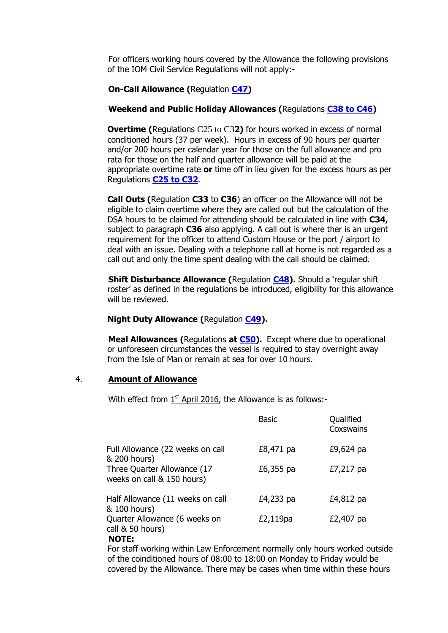For officers working hours covered by the Allowance the following provisions of the IOM Civil Service Regulations will not apply:-

### **On-Call Allowance (**Regulation **[C47\)](http://www.gov.im/personnel/iomcs/cs_regs/section_C/overtime.xml#c47)**

### **Weekend and Public Holiday Allowances (**Regulations **[C38 to C46\)](http://www.gov.im/personnel/iomcs/cs_regs/section_C/overtime.xml#c38)**

**Overtime (**Regulations C25 to C3**2)** for hours worked in excess of normal conditioned hours (37 per week). Hours in excess of 90 hours per quarter and/or 200 hours per calendar year for those on the full allowance and pro rata for those on the half and quarter allowance will be paid at the appropriate overtime rate **or** time off in lieu given for the excess hours as per Regulations **[C25 to C32](http://www.gov.im/personnel/iomcs/cs_regs/section_C/overtime.xml#c25)**.

**Call Outs (**Regulation **C33** to **C36**) an officer on the Allowance will not be eligible to claim overtime where they are called out but the calculation of the DSA hours to be claimed for attending should be calculated in line with **C34,**  subject to paragraph **C36** also applying. A call out is where ther is an urgent requirement for the officer to attend Custom House or the port / airport to deal with an issue. Dealing with a telephone call at home is not regarded as a call out and only the time spent dealing with the call should be claimed.

**Shift Disturbance Allowance (**Regulation **[C48\)](http://www.gov.im/personnel/iomcs/cs_regs/section_C/overtime.xml#c48).** Should a 'regular shift roster' as defined in the regulations be introduced, eligibility for this allowance will be reviewed.

### **Night Duty Allowance (**Regulation **[C49\)](http://www.gov.im/personnel/iomcs/cs_regs/section_C/overtime.xml#c49).**

**Meal Allowances (**Regulations **at [C50\)](http://www.gov.im/personnel/iomcs/cs_regs/section_C/overtime.xml#c50).** Except where due to operational or unforeseen circumstances the vessel is required to stay overnight away from the Isle of Man or remain at sea for over 10 hours.

#### 4. **Amount of Allowance**

With effect from  $1<sup>st</sup>$  April 2016, the Allowance is as follows:-

|                                                           | <b>Basic</b> | Qualified<br>Coxswains |
|-----------------------------------------------------------|--------------|------------------------|
| Full Allowance (22 weeks on call<br>& 200 hours)          | £8,471 pa    | £9,624 pa              |
| Three Quarter Allowance (17<br>weeks on call & 150 hours) | £6,355 pa    | £7,217 pa              |
| Half Allowance (11 weeks on call<br>& 100 hours)          | £4,233 pa    | £4,812 pa              |
| Quarter Allowance (6 weeks on<br>call & 50 hours)<br>.    | £2,119pa     | £2,407 pa              |

#### **NOTE:**

For staff working within Law Enforcement normally only hours worked outside of the coinditioned hours of 08:00 to 18:00 on Monday to Friday would be covered by the Allowance. There may be cases when time within these hours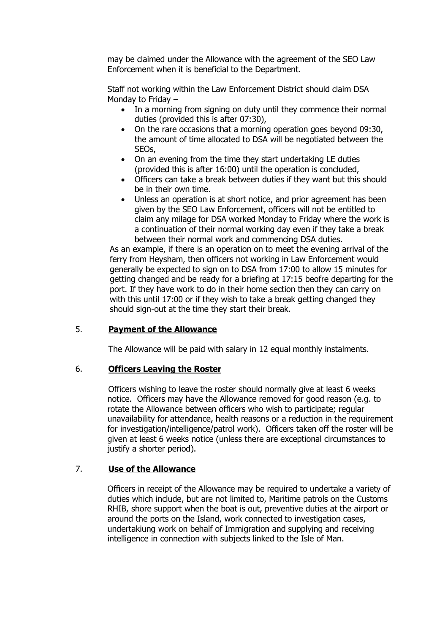may be claimed under the Allowance with the agreement of the SEO Law Enforcement when it is beneficial to the Department.

Staff not working within the Law Enforcement District should claim DSA Monday to Friday –

- In a morning from signing on duty until they commence their normal duties (provided this is after 07:30),
- On the rare occasions that a morning operation goes beyond 09:30, the amount of time allocated to DSA will be negotiated between the SEOs,
- On an evening from the time they start undertaking LE duties (provided this is after 16:00) until the operation is concluded,
- Officers can take a break between duties if they want but this should be in their own time.
- Unless an operation is at short notice, and prior agreement has been given by the SEO Law Enforcement, officers will not be entitled to claim any milage for DSA worked Monday to Friday where the work is a continuation of their normal working day even if they take a break between their normal work and commencing DSA duties.

As an example, if there is an operation on to meet the evening arrival of the ferry from Heysham, then officers not working in Law Enforcement would generally be expected to sign on to DSA from 17:00 to allow 15 minutes for getting changed and be ready for a briefing at 17:15 beofre departing for the port. If they have work to do in their home section then they can carry on with this until 17:00 or if they wish to take a break getting changed they should sign-out at the time they start their break.

# 5. **Payment of the Allowance**

The Allowance will be paid with salary in 12 equal monthly instalments.

### 6. **Officers Leaving the Roster**

Officers wishing to leave the roster should normally give at least 6 weeks notice. Officers may have the Allowance removed for good reason (e.g. to rotate the Allowance between officers who wish to participate; regular unavailability for attendance, health reasons or a reduction in the requirement for investigation/intelligence/patrol work). Officers taken off the roster will be given at least 6 weeks notice (unless there are exceptional circumstances to justify a shorter period).

# 7. **Use of the Allowance**

Officers in receipt of the Allowance may be required to undertake a variety of duties which include, but are not limited to, Maritime patrols on the Customs RHIB, shore support when the boat is out, preventive duties at the airport or around the ports on the Island, work connected to investigation cases, undertakiung work on behalf of Immigration and supplying and receiving intelligence in connection with subjects linked to the Isle of Man.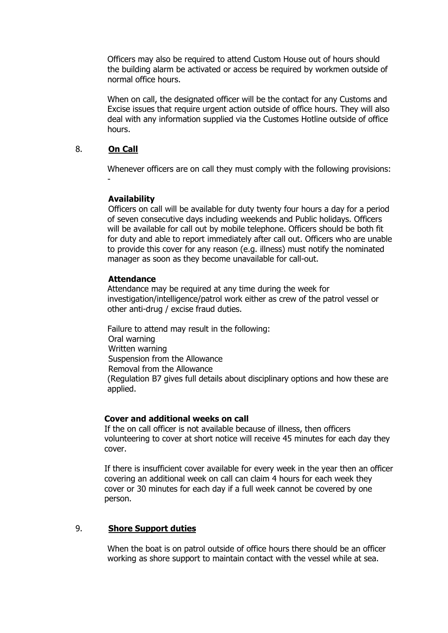Officers may also be required to attend Custom House out of hours should the building alarm be activated or access be required by workmen outside of normal office hours.

When on call, the designated officer will be the contact for any Customs and Excise issues that require urgent action outside of office hours. They will also deal with any information supplied via the Customes Hotline outside of office hours.

## 8. **On Call**

-

Whenever officers are on call they must comply with the following provisions:

### **Availability**

Officers on call will be available for duty twenty four hours a day for a period of seven consecutive days including weekends and Public holidays. Officers will be available for call out by mobile telephone. Officers should be both fit for duty and able to report immediately after call out. Officers who are unable to provide this cover for any reason (e.g. illness) must notify the nominated manager as soon as they become unavailable for call-out.

### **Attendance**

Attendance may be required at any time during the week for investigation/intelligence/patrol work either as crew of the patrol vessel or other anti-drug / excise fraud duties.

Failure to attend may result in the following: Oral warning Written warning Suspension from the Allowance Removal from the Allowance (Regulation B7 gives full details about disciplinary options and how these are applied.

#### **Cover and additional weeks on call**

If the on call officer is not available because of illness, then officers volunteering to cover at short notice will receive 45 minutes for each day they cover.

If there is insufficient cover available for every week in the year then an officer covering an additional week on call can claim 4 hours for each week they cover or 30 minutes for each day if a full week cannot be covered by one person.

### 9. **Shore Support duties**

When the boat is on patrol outside of office hours there should be an officer working as shore support to maintain contact with the vessel while at sea.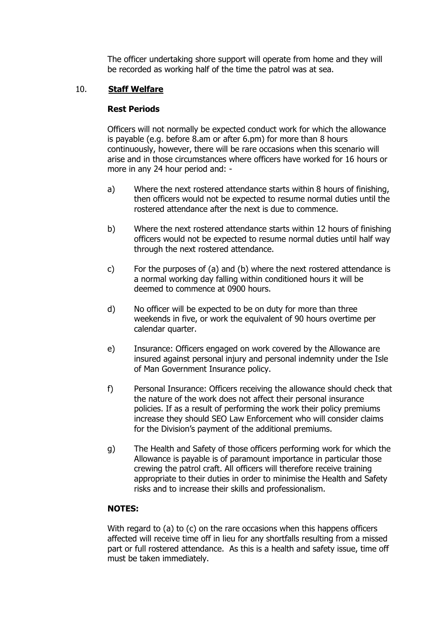The officer undertaking shore support will operate from home and they will be recorded as working half of the time the patrol was at sea.

### 10. **Staff Welfare**

### **Rest Periods**

Officers will not normally be expected conduct work for which the allowance is payable (e.g. before 8.am or after 6.pm) for more than 8 hours continuously, however, there will be rare occasions when this scenario will arise and in those circumstances where officers have worked for 16 hours or more in any 24 hour period and: -

- a) Where the next rostered attendance starts within 8 hours of finishing, then officers would not be expected to resume normal duties until the rostered attendance after the next is due to commence.
- b) Where the next rostered attendance starts within 12 hours of finishing officers would not be expected to resume normal duties until half way through the next rostered attendance.
- c) For the purposes of (a) and (b) where the next rostered attendance is a normal working day falling within conditioned hours it will be deemed to commence at 0900 hours.
- d) No officer will be expected to be on duty for more than three weekends in five, or work the equivalent of 90 hours overtime per calendar quarter.
- e) Insurance: Officers engaged on work covered by the Allowance are insured against personal injury and personal indemnity under the Isle of Man Government Insurance policy.
- f) Personal Insurance: Officers receiving the allowance should check that the nature of the work does not affect their personal insurance policies. If as a result of performing the work their policy premiums increase they should SEO Law Enforcement who will consider claims for the Division's payment of the additional premiums.
- g) The Health and Safety of those officers performing work for which the Allowance is payable is of paramount importance in particular those crewing the patrol craft. All officers will therefore receive training appropriate to their duties in order to minimise the Health and Safety risks and to increase their skills and professionalism.

### **NOTES:**

With regard to (a) to (c) on the rare occasions when this happens officers affected will receive time off in lieu for any shortfalls resulting from a missed part or full rostered attendance. As this is a health and safety issue, time off must be taken immediately.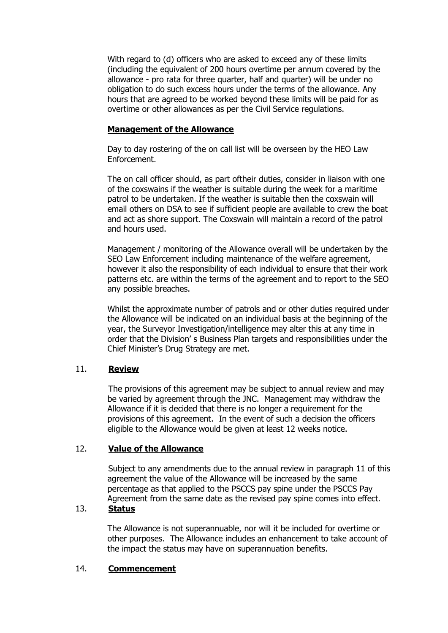With regard to (d) officers who are asked to exceed any of these limits (including the equivalent of 200 hours overtime per annum covered by the allowance - pro rata for three quarter, half and quarter) will be under no obligation to do such excess hours under the terms of the allowance. Any hours that are agreed to be worked beyond these limits will be paid for as overtime or other allowances as per the Civil Service regulations.

# **Management of the Allowance**

Day to day rostering of the on call list will be overseen by the HEO Law Enforcement.

The on call officer should, as part oftheir duties, consider in liaison with one of the coxswains if the weather is suitable during the week for a maritime patrol to be undertaken. If the weather is suitable then the coxswain will email others on DSA to see if sufficient people are available to crew the boat and act as shore support. The Coxswain will maintain a record of the patrol and hours used.

Management / monitoring of the Allowance overall will be undertaken by the SEO Law Enforcement including maintenance of the welfare agreement, however it also the responsibility of each individual to ensure that their work patterns etc. are within the terms of the agreement and to report to the SEO any possible breaches.

Whilst the approximate number of patrols and or other duties required under the Allowance will be indicated on an individual basis at the beginning of the year, the Surveyor Investigation/intelligence may alter this at any time in order that the Division' s Business Plan targets and responsibilities under the Chief Minister's Drug Strategy are met.

# 11. **Review**

The provisions of this agreement may be subject to annual review and may be varied by agreement through the JNC. Management may withdraw the Allowance if it is decided that there is no longer a requirement for the provisions of this agreement. In the event of such a decision the officers eligible to the Allowance would be given at least 12 weeks notice.

# 12. **Value of the Allowance**

Subject to any amendments due to the annual review in paragraph 11 of this agreement the value of the Allowance will be increased by the same percentage as that applied to the PSCCS pay spine under the PSCCS Pay Agreement from the same date as the revised pay spine comes into effect.

# 13. **Status**

The Allowance is not superannuable, nor will it be included for overtime or other purposes. The Allowance includes an enhancement to take account of the impact the status may have on superannuation benefits.

# 14. **Commencement**